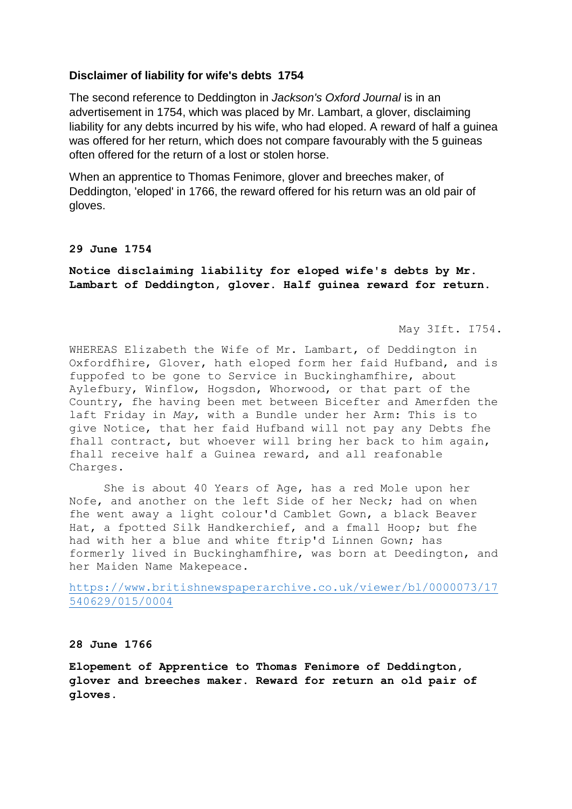## **Disclaimer of liability for wife's debts 1754**

The second reference to Deddington in *Jackson's Oxford Journal* is in an advertisement in 1754, which was placed by Mr. Lambart, a glover, disclaiming liability for any debts incurred by his wife, who had eloped. A reward of half a guinea was offered for her return, which does not compare favourably with the 5 guineas often offered for the return of a lost or stolen horse.

When an apprentice to Thomas Fenimore, glover and breeches maker, of Deddington, 'eloped' in 1766, the reward offered for his return was an old pair of gloves.

## **29 June 1754**

**Notice disclaiming liability for eloped wife's debts by Mr. Lambart of Deddington, glover. Half guinea reward for return.**

May 3Ift. I754.

WHEREAS Elizabeth the Wife of Mr. Lambart, of Deddington in Oxfordfhire, Glover, hath eloped form her faid Hufband, and is fuppofed to be gone to Service in Buckinghamfhire, about Aylefbury, Winflow, Hogsdon, Whorwood, or that part of the Country, fhe having been met between Bicefter and Amerfden the laft Friday in *May*, with a Bundle under her Arm: This is to give Notice, that her faid Hufband will not pay any Debts fhe fhall contract, but whoever will bring her back to him again, fhall receive half a Guinea reward, and all reafonable Charges.

She is about 40 Years of Age, has a red Mole upon her Nofe, and another on the left Side of her Neck; had on when fhe went away a light colour'd Camblet Gown, a black Beaver Hat, a fpotted Silk Handkerchief, and a fmall Hoop; but fhe had with her a blue and white ftrip'd Linnen Gown; has formerly lived in Buckinghamfhire, was born at Deedington, and her Maiden Name Makepeace.

[https://www.britishnewspaperarchive.co.uk/viewer/bl/0000073/17](https://www.britishnewspaperarchive.co.uk/viewer/bl/0000073/17540629/015/0004) [540629/015/0004](https://www.britishnewspaperarchive.co.uk/viewer/bl/0000073/17540629/015/0004)

## **28 June 1766**

**Elopement of Apprentice to Thomas Fenimore of Deddington, glover and breeches maker. Reward for return an old pair of gloves.**